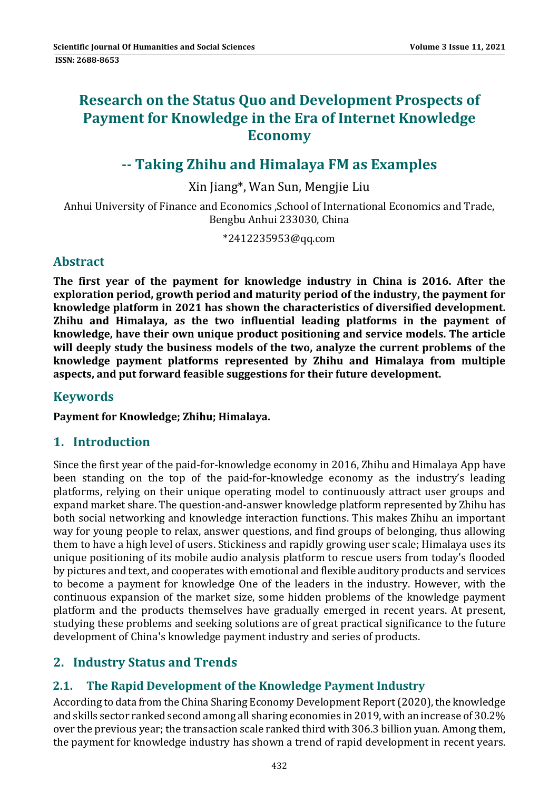# **Research on the Status Quo and Development Prospects of Payment for Knowledge in the Era of Internet Knowledge Economy**

# **‐‐ Taking Zhihu and Himalaya FM as Examples**

Xin Jiang\*, Wan Sun, Mengjie Liu 

Anhui University of Finance and Economics , School of International Economics and Trade, Bengbu Anhui 233030, China

\*2412235953@qq.com 

### **Abstract**

**The first year of the payment for knowledge industry in China is 2016. After the exploration period, growth period and maturity period of the industry, the payment for knowledge platform in 2021 has shown the characteristics of diversified development. Zhihu and Himalaya, as the two influential leading platforms in the payment of knowledge, have their own unique product positioning and service models. The article will deeply study the business models of the two, analyze the current problems of the knowledge payment platforms represented by Zhihu and Himalaya from multiple aspects, and put forward feasible suggestions for their future development.**

### **Keywords**

**Payment for Knowledge; Zhihu; Himalaya.**

### **1. Introduction**

Since the first year of the paid-for-knowledge economy in 2016, Zhihu and Himalaya App have been standing on the top of the paid-for-knowledge economy as the industry's leading platforms, relying on their unique operating model to continuously attract user groups and expand market share. The question-and-answer knowledge platform represented by Zhihu has both social networking and knowledge interaction functions. This makes Zhihu an important way for young people to relax, answer questions, and find groups of belonging, thus allowing them to have a high level of users. Stickiness and rapidly growing user scale; Himalaya uses its unique positioning of its mobile audio analysis platform to rescue users from today's flooded by pictures and text, and cooperates with emotional and flexible auditory products and services to become a payment for knowledge One of the leaders in the industry. However, with the continuous expansion of the market size, some hidden problems of the knowledge payment platform and the products themselves have gradually emerged in recent years. At present, studying these problems and seeking solutions are of great practical significance to the future development of China's knowledge payment industry and series of products.

## **2. Industry Status and Trends**

## **2.1. The Rapid Development of the Knowledge Payment Industry**

According to data from the China Sharing Economy Development Report (2020), the knowledge and skills sector ranked second among all sharing economies in 2019, with an increase of 30.2% over the previous year; the transaction scale ranked third with 306.3 billion yuan. Among them, the payment for knowledge industry has shown a trend of rapid development in recent years.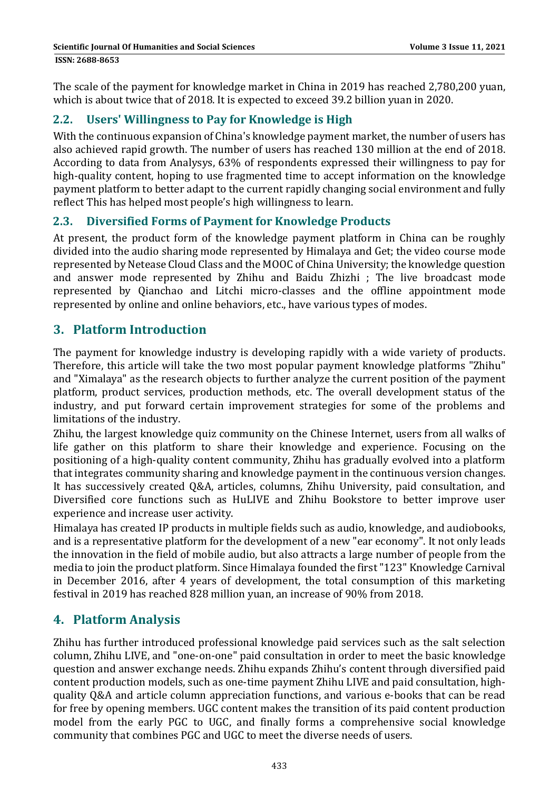The scale of the payment for knowledge market in China in 2019 has reached 2,780,200 yuan, which is about twice that of 2018. It is expected to exceed 39.2 billion yuan in 2020.

## **2.2. Users' Willingness to Pay for Knowledge is High**

With the continuous expansion of China's knowledge payment market, the number of users has also achieved rapid growth. The number of users has reached 130 million at the end of 2018. According to data from Analysys, 63% of respondents expressed their willingness to pay for high-quality content, hoping to use fragmented time to accept information on the knowledge payment platform to better adapt to the current rapidly changing social environment and fully reflect This has helped most people's high willingness to learn.

### **2.3. Diversified Forms of Payment for Knowledge Products**

At present, the product form of the knowledge payment platform in China can be roughly divided into the audio sharing mode represented by Himalaya and Get; the video course mode represented by Netease Cloud Class and the MOOC of China University; the knowledge question and answer mode represented by Zhihu and Baidu Zhizhi ; The live broadcast mode represented by Qianchao and Litchi micro-classes and the offline appointment mode represented by online and online behaviors, etc., have various types of modes.

## **3. Platform Introduction**

The payment for knowledge industry is developing rapidly with a wide variety of products. Therefore, this article will take the two most popular payment knowledge platforms "Zhihu" and "Ximalaya" as the research objects to further analyze the current position of the payment platform, product services, production methods, etc. The overall development status of the industry, and put forward certain improvement strategies for some of the problems and limitations of the industry.

Zhihu, the largest knowledge quiz community on the Chinese Internet, users from all walks of life gather on this platform to share their knowledge and experience. Focusing on the positioning of a high-quality content community, Zhihu has gradually evolved into a platform that integrates community sharing and knowledge payment in the continuous version changes. It has successively created Q&A, articles, columns, Zhihu University, paid consultation, and Diversified core functions such as HuLIVE and Zhihu Bookstore to better improve user experience and increase user activity.

Himalaya has created IP products in multiple fields such as audio, knowledge, and audiobooks, and is a representative platform for the development of a new "ear economy". It not only leads the innovation in the field of mobile audio, but also attracts a large number of people from the media to join the product platform. Since Himalaya founded the first "123" Knowledge Carnival in December 2016, after 4 years of development, the total consumption of this marketing festival in 2019 has reached 828 million yuan, an increase of 90% from 2018.

# **4. Platform Analysis**

Zhihu has further introduced professional knowledge paid services such as the salt selection column, Zhihu LIVE, and "one-on-one" paid consultation in order to meet the basic knowledge question and answer exchange needs. Zhihu expands Zhihu's content through diversified paid content production models, such as one-time payment Zhihu LIVE and paid consultation, highquality Q&A and article column appreciation functions, and various e-books that can be read for free by opening members. UGC content makes the transition of its paid content production model from the early PGC to UGC, and finally forms a comprehensive social knowledge community that combines PGC and UGC to meet the diverse needs of users.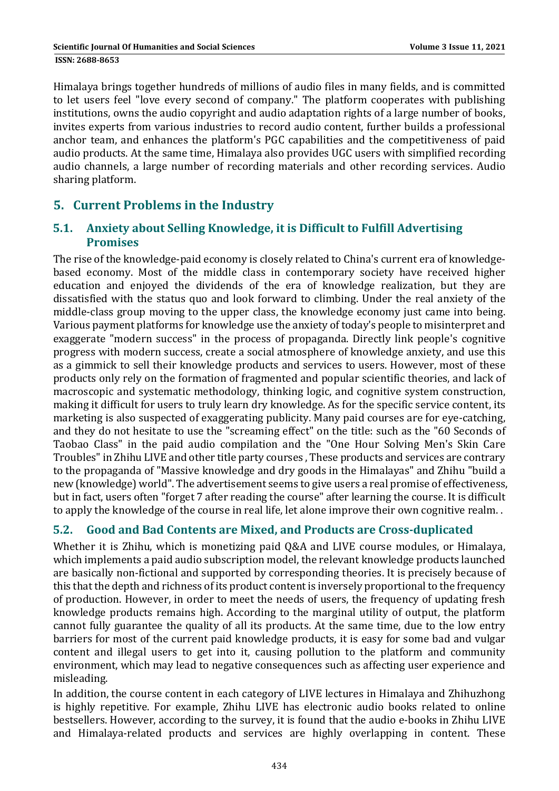Himalaya brings together hundreds of millions of audio files in many fields, and is committed to let users feel "love every second of company." The platform cooperates with publishing institutions, owns the audio copyright and audio adaptation rights of a large number of books, invites experts from various industries to record audio content, further builds a professional anchor team, and enhances the platform's PGC capabilities and the competitiveness of paid audio products. At the same time, Himalaya also provides UGC users with simplified recording audio channels, a large number of recording materials and other recording services. Audio sharing platform.

## **5. Current Problems in the Industry**

#### **5.1. Anxiety about Selling Knowledge, it is Difficult to Fulfill Advertising Promises**

The rise of the knowledge-paid economy is closely related to China's current era of knowledgebased economy. Most of the middle class in contemporary society have received higher education and enjoyed the dividends of the era of knowledge realization, but they are dissatisfied with the status quo and look forward to climbing. Under the real anxiety of the middle-class group moving to the upper class, the knowledge economy just came into being. Various payment platforms for knowledge use the anxiety of today's people to misinterpret and exaggerate "modern success" in the process of propaganda. Directly link people's cognitive progress with modern success, create a social atmosphere of knowledge anxiety, and use this as a gimmick to sell their knowledge products and services to users. However, most of these products only rely on the formation of fragmented and popular scientific theories, and lack of macroscopic and systematic methodology, thinking logic, and cognitive system construction, making it difficult for users to truly learn dry knowledge. As for the specific service content, its marketing is also suspected of exaggerating publicity. Many paid courses are for eye-catching, and they do not hesitate to use the "screaming effect" on the title: such as the "60 Seconds of Taobao Class" in the paid audio compilation and the "One Hour Solving Men's Skin Care Troubles" in Zhihu LIVE and other title party courses. These products and services are contrary to the propaganda of "Massive knowledge and dry goods in the Himalayas" and Zhihu "build a new (knowledge) world". The advertisement seems to give users a real promise of effectiveness, but in fact, users often "forget 7 after reading the course" after learning the course. It is difficult to apply the knowledge of the course in real life, let alone improve their own cognitive realm..

### **5.2. Good and Bad Contents are Mixed, and Products are Cross‐duplicated**

Whether it is Zhihu, which is monetizing paid Q&A and LIVE course modules, or Himalaya, which implements a paid audio subscription model, the relevant knowledge products launched are basically non-fictional and supported by corresponding theories. It is precisely because of this that the depth and richness of its product content is inversely proportional to the frequency of production. However, in order to meet the needs of users, the frequency of updating fresh knowledge products remains high. According to the marginal utility of output, the platform cannot fully guarantee the quality of all its products. At the same time, due to the low entry barriers for most of the current paid knowledge products, it is easy for some bad and vulgar content and illegal users to get into it, causing pollution to the platform and community environment, which may lead to negative consequences such as affecting user experience and misleading. 

In addition, the course content in each category of LIVE lectures in Himalaya and Zhihuzhong is highly repetitive. For example, Zhihu LIVE has electronic audio books related to online bestsellers. However, according to the survey, it is found that the audio e-books in Zhihu LIVE and Himalaya-related products and services are highly overlapping in content. These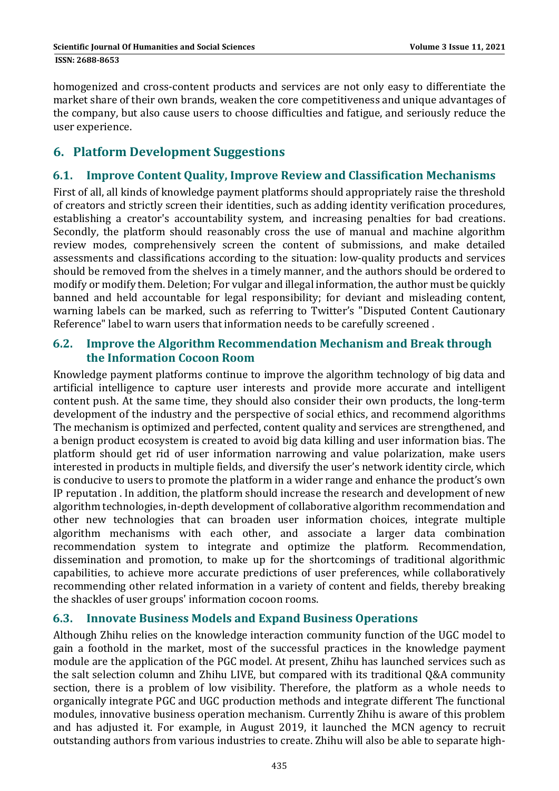homogenized and cross-content products and services are not only easy to differentiate the market share of their own brands, weaken the core competitiveness and unique advantages of the company, but also cause users to choose difficulties and fatigue, and seriously reduce the user experience.

## **6. Platform Development Suggestions**

### **6.1. Improve Content Quality, Improve Review and Classification Mechanisms**

First of all, all kinds of knowledge payment platforms should appropriately raise the threshold of creators and strictly screen their identities, such as adding identity verification procedures, establishing a creator's accountability system, and increasing penalties for bad creations. Secondly, the platform should reasonably cross the use of manual and machine algorithm review modes, comprehensively screen the content of submissions, and make detailed assessments and classifications according to the situation: low-quality products and services should be removed from the shelves in a timely manner, and the authors should be ordered to modify or modify them. Deletion; For vulgar and illegal information, the author must be quickly banned and held accountable for legal responsibility; for deviant and misleading content, warning labels can be marked, such as referring to Twitter's "Disputed Content Cautionary Reference" label to warn users that information needs to be carefully screened.

#### **6.2. Improve the Algorithm Recommendation Mechanism and Break through the Information Cocoon Room**

Knowledge payment platforms continue to improve the algorithm technology of big data and artificial intelligence to capture user interests and provide more accurate and intelligent content push. At the same time, they should also consider their own products, the long-term development of the industry and the perspective of social ethics, and recommend algorithms The mechanism is optimized and perfected, content quality and services are strengthened, and a benign product ecosystem is created to avoid big data killing and user information bias. The platform should get rid of user information narrowing and value polarization, make users interested in products in multiple fields, and diversify the user's network identity circle, which is conducive to users to promote the platform in a wider range and enhance the product's own IP reputation . In addition, the platform should increase the research and development of new algorithm technologies, in-depth development of collaborative algorithm recommendation and other new technologies that can broaden user information choices, integrate multiple algorithm mechanisms with each other, and associate a larger data combination recommendation system to integrate and optimize the platform. Recommendation, dissemination and promotion, to make up for the shortcomings of traditional algorithmic capabilities, to achieve more accurate predictions of user preferences, while collaboratively recommending other related information in a variety of content and fields, thereby breaking the shackles of user groups' information cocoon rooms.

#### **6.3. Innovate Business Models and Expand Business Operations**

Although Zhihu relies on the knowledge interaction community function of the UGC model to gain a foothold in the market, most of the successful practices in the knowledge payment module are the application of the PGC model. At present, Zhihu has launched services such as the salt selection column and Zhihu LIVE, but compared with its traditional Q&A community section, there is a problem of low visibility. Therefore, the platform as a whole needs to organically integrate PGC and UGC production methods and integrate different The functional modules, innovative business operation mechanism. Currently Zhihu is aware of this problem and has adjusted it. For example, in August 2019, it launched the MCN agency to recruit outstanding authors from various industries to create. Zhihu will also be able to separate high-